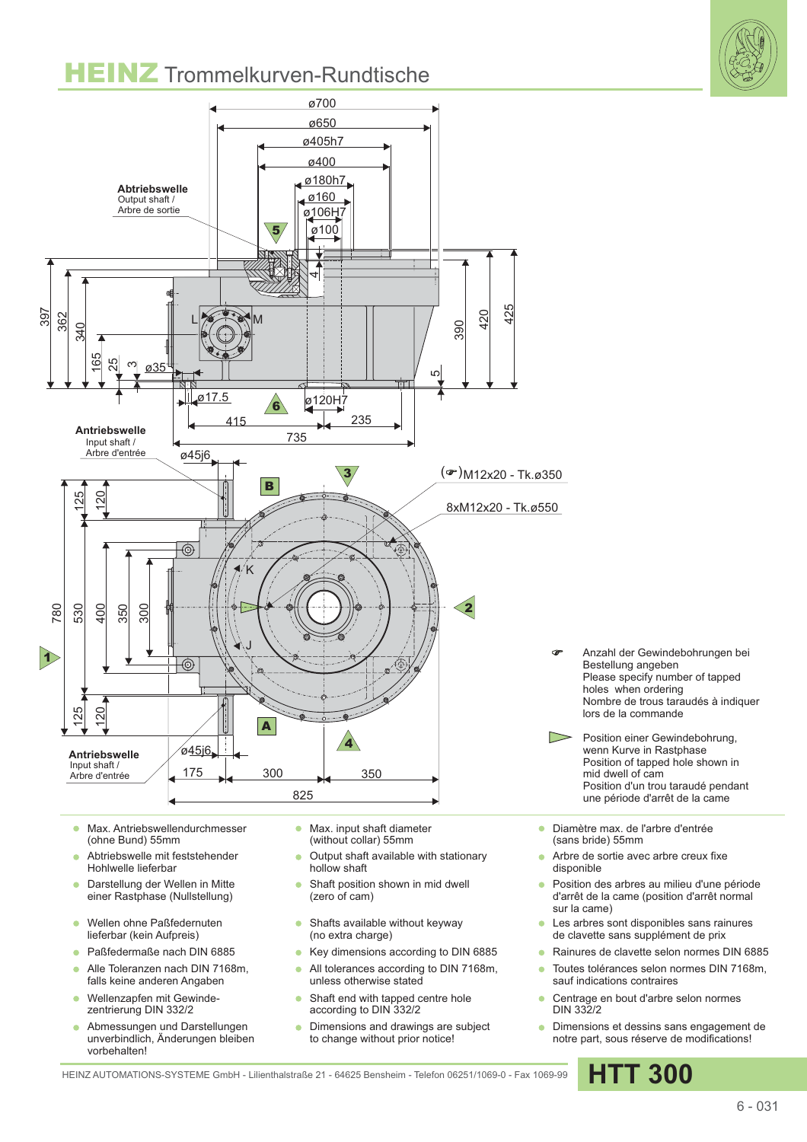## **HEINZ** Trommelkurven-Rundtische





- Darstellung der Wellen in Mitte  $\bullet$ einer Rastphase (Nullstellung)
- Wellen ohne Paßfedernuten  $\bullet$ lieferbar (kein Aufpreis)
- Paßfedermaße nach DIN 6885
- Alle Toleranzen nach DIN 7168m,  $\Delta$ falls keine anderen Angaben
- Wellenzapfen mit Gewindezentrierung DIN 332/2
- Abmessungen und Darstellungen unverbindlich, Änderungen bleiben vorbehalten!
- hollow shaft
- Shaft position shown in mid dwell  $\bullet$ (zero of cam)
- Shafts available without keyway  $\bullet$ (no extra charge)
- Key dimensions according to DIN 6885 ٠
- All tolerances according to DIN 7168m, ä unless otherwise stated
- ä Shaft end with tapped centre hole according to DIN 332/2
- Dimensions and drawings are subject to change without prior notice!
- disponible
- Position des arbres au milieu d'une période d'arrêt de la came (position d'arrêt normal sur la came)
- Les arbres sont disponibles sans rainures de clavette sans supplément de prix
- Rainures de clavette selon normes DIN 6885
- Toutes tolérances selon normes DIN 7168m, sauf indications contraires
- Centrage en bout d'arbre selon normes DIN 332/2
- **·** Dimensions et dessins sans engagement de notre part, sous réserve de modifications!

HEINZ AUTOMATIONS-SYSTEME GmbH - Lilienthalstraße 21 - 64625 Bensheim - Telefon 06251/1069-0 - Fax 1069-99 **HTT 300**